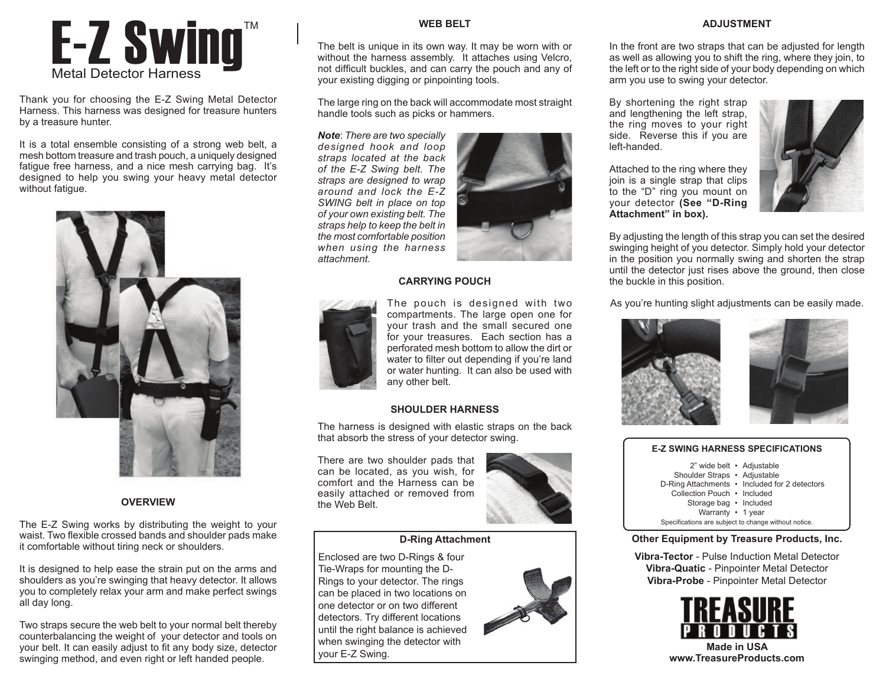# $\mathsf{E}\text{-}\mathsf{Z}$  Swing"

Thank you for choosing the E-Z Swing Metal Detector Harness. This harness was designed for treasure hunters by a treasure hunter.

It is a total ensemble consisting of a strong web belt, a mesh bottom treasure and trash pouch, a uniquely designed fatigue free harness, and a nice mesh carrying bag. It's designed to help you swing your heavy metal detector without fatigue.



# **OVERVIEW**

The E-Z Swing works by distributing the weight to your waist. Two flexible crossed bands and shoulder pads make it comfortable without tiring neck or shoulders.

It is designed to help ease the strain put on the arms and shoulders as you're swinging that heavy detector. It allows you to completely relax your arm and make perfect swings all day long.

Two straps secure the web belt to your normal belt thereby counterbalancing the weight of your detector and tools on your belt. It can easily adjust to fit any body size, detector swinging method, and even right or left handed people.

# **WEB BELT**

The belt is unique in its own way. It may be worn with or without the harness assembly. It attaches using Velcro, not difficult buckles, and can carry the pouch and any of your existing digging or pinpointing tools.

The large ring on the back will accommodate most straight handle tools such as picks or hammers.

*Note*: *There are two specially designed hook and loop straps located at the back of the E-Z Swing belt. The straps are designed to wrap around and lock the E-Z SWING belt in place on top of your own existing belt. The straps help to keep the belt in the most comfortable position when using the harness attachment.*



# **CARRYING POUCH**



The pouch is designed with two compartments. The large open one for your trash and the small secured one for your treasures. Each section has a perforated mesh bottom to allow the dirt or water to filter out depending if you're land or water hunting. It can also be used with any other belt.

# **SHOULDER HARNESS**

The harness is designed with elastic straps on the back that absorb the stress of your detector swing.

There are two shoulder pads that can be located, as you wish, for comfort and the Harness can be easily attached or removed from the Web Belt.



# **D-Ring Attachment**

Enclosed are two D-Rings & four Tie-Wraps for mounting the D-Rings to your detector. The rings can be placed in two locations on one detector or on two different detectors. Try different locations until the right balance is achieved when swinging the detector with when swinging the detector with **Made in USA Made in USA Made in USA www.TreasureProducts.com** 





# **ADJUSTMENT**

In the front are two straps that can be adjusted for length as well as allowing you to shift the ring, where they join, to the left or to the right side of your body depending on which arm you use to swing your detector.

By shortening the right strap and lengthening the left strap, the ring moves to your right side. Reverse this if you are left-handed.

Attached to the ring where they join is a single strap that clips to the "D" ring you mount on your detector **(See "D-Ring Attachment" in box).** 



By adjusting the length of this strap you can set the desired swinging height of you detector. Simply hold your detector in the position you normally swing and shorten the strap until the detector just rises above the ground, then close the buckle in this position.

As you're hunting slight adjustments can be easily made.





# **E-Z SWING HARNESS SPECIFICATIONS**

- 2" wide belt Adjustable Shoulder Straps • Adjustable D-Ring Attachments • Included for 2 detectors Collection Pouch • Included Storage bag • Included Warranty • 1 year
	- Specifications are subject to change without notice.

# **Other Equipment by Treasure Products, Inc.**

**Vibra-Tector** - Pulse Induction Metal Detector **Vibra-Quatic** - Pinpointer Metal Detector **Vibra-Probe** - Pinpointer Metal Detector